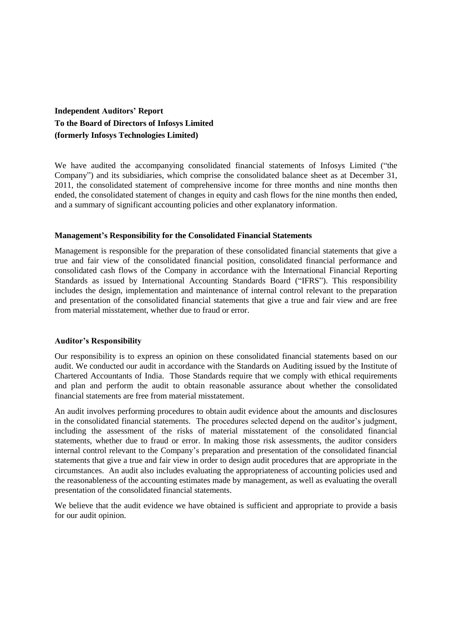**Independent Auditors' Report To the Board of Directors of Infosys Limited (formerly Infosys Technologies Limited)**

We have audited the accompanying consolidated financial statements of Infosys Limited ("the Company") and its subsidiaries, which comprise the consolidated balance sheet as at December 31, 2011, the consolidated statement of comprehensive income for three months and nine months then ended, the consolidated statement of changes in equity and cash flows for the nine months then ended, and a summary of significant accounting policies and other explanatory information.

## **Management's Responsibility for the Consolidated Financial Statements**

Management is responsible for the preparation of these consolidated financial statements that give a true and fair view of the consolidated financial position, consolidated financial performance and consolidated cash flows of the Company in accordance with the International Financial Reporting Standards as issued by International Accounting Standards Board ("IFRS"). This responsibility includes the design, implementation and maintenance of internal control relevant to the preparation and presentation of the consolidated financial statements that give a true and fair view and are free from material misstatement, whether due to fraud or error.

## **Auditor's Responsibility**

Our responsibility is to express an opinion on these consolidated financial statements based on our audit. We conducted our audit in accordance with the Standards on Auditing issued by the Institute of Chartered Accountants of India. Those Standards require that we comply with ethical requirements and plan and perform the audit to obtain reasonable assurance about whether the consolidated financial statements are free from material misstatement.

An audit involves performing procedures to obtain audit evidence about the amounts and disclosures in the consolidated financial statements. The procedures selected depend on the auditor's judgment, including the assessment of the risks of material misstatement of the consolidated financial statements, whether due to fraud or error. In making those risk assessments, the auditor considers internal control relevant to the Company's preparation and presentation of the consolidated financial statements that give a true and fair view in order to design audit procedures that are appropriate in the circumstances. An audit also includes evaluating the appropriateness of accounting policies used and the reasonableness of the accounting estimates made by management, as well as evaluating the overall presentation of the consolidated financial statements.

We believe that the audit evidence we have obtained is sufficient and appropriate to provide a basis for our audit opinion.